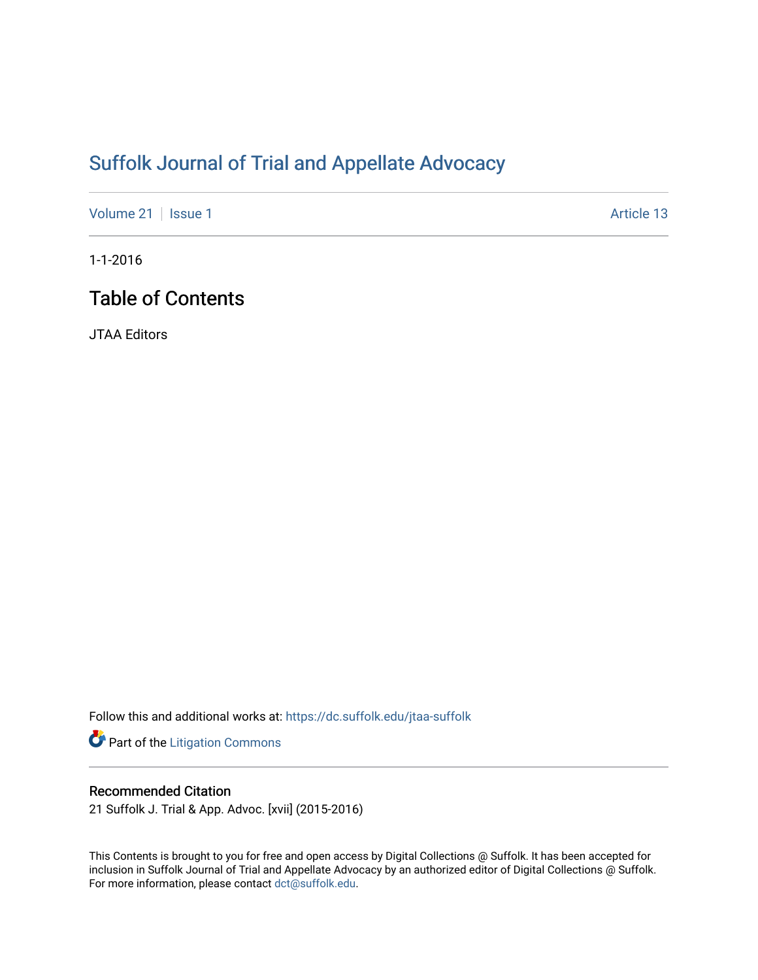# [Suffolk Journal of Trial and Appellate Advocacy](https://dc.suffolk.edu/jtaa-suffolk)

[Volume 21](https://dc.suffolk.edu/jtaa-suffolk/vol21) | [Issue 1](https://dc.suffolk.edu/jtaa-suffolk/vol21/iss1) Article 13

1-1-2016

# Table of Contents

JTAA Editors

Follow this and additional works at: [https://dc.suffolk.edu/jtaa-suffolk](https://dc.suffolk.edu/jtaa-suffolk?utm_source=dc.suffolk.edu%2Fjtaa-suffolk%2Fvol21%2Fiss1%2F13&utm_medium=PDF&utm_campaign=PDFCoverPages) 

Part of the [Litigation Commons](http://network.bepress.com/hgg/discipline/910?utm_source=dc.suffolk.edu%2Fjtaa-suffolk%2Fvol21%2Fiss1%2F13&utm_medium=PDF&utm_campaign=PDFCoverPages)

## Recommended Citation

21 Suffolk J. Trial & App. Advoc. [xvii] (2015-2016)

This Contents is brought to you for free and open access by Digital Collections @ Suffolk. It has been accepted for inclusion in Suffolk Journal of Trial and Appellate Advocacy by an authorized editor of Digital Collections @ Suffolk. For more information, please contact [dct@suffolk.edu](mailto:dct@suffolk.edu).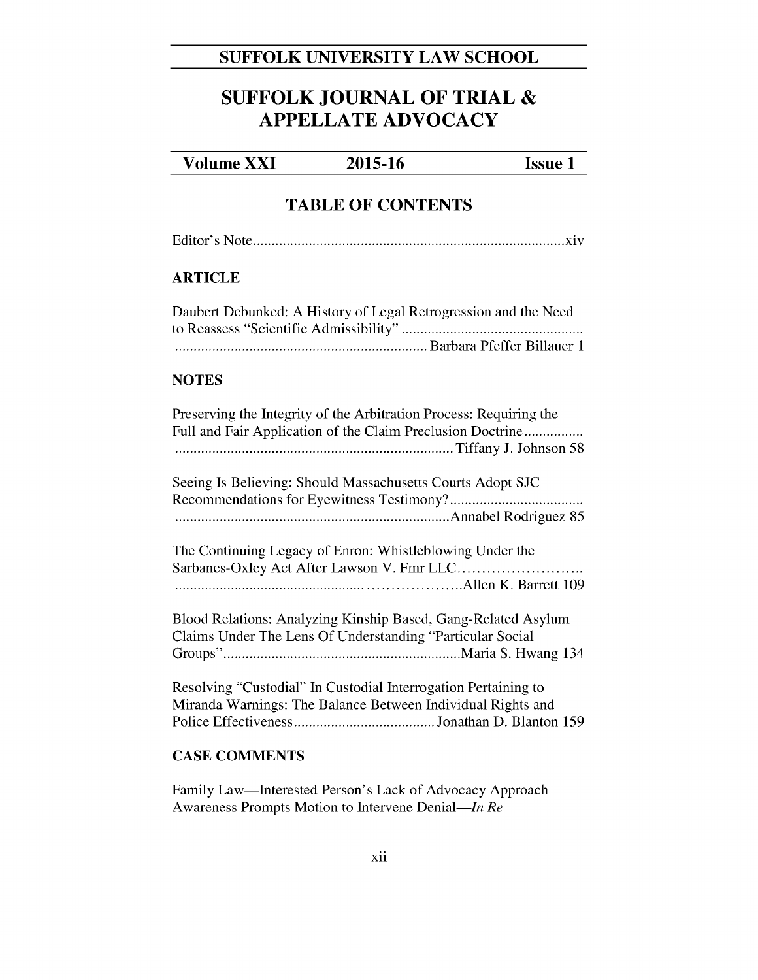## SUFFOLK UNIVERSITY LAW SCHOOL

# **SUFFOLK JOURNAL OF TRIAL & APPELLATE ADVOCACY**

#### **Volume XXI** 2015-16 **Issue 1**

## **TABLE OF CONTENTS**

## **ARTICLE**

| Daubert Debunked: A History of Legal Retrogression and the Need |
|-----------------------------------------------------------------|
|                                                                 |
|                                                                 |

### **NOTES**

| Preserving the Integrity of the Arbitration Process: Requiring the<br>Full and Fair Application of the Claim Preclusion Doctrine |
|----------------------------------------------------------------------------------------------------------------------------------|
| Seeing Is Believing: Should Massachusetts Courts Adopt SJC                                                                       |
| The Continuing Legacy of Enron: Whistleblowing Under the                                                                         |
| Blood Relations: Analyzing Kinship Based, Gang-Related Asylum<br>Claims Under The Lens Of Understanding "Particular Social       |
| Resolving "Custodial" In Custodial Interrogation Pertaining to<br>Miranda Warnings: The Balance Between Individual Rights and    |

## **CASE COMMENTS**

Family Law-Interested Person's Lack of Advocacy Approach Awareness Prompts Motion to Intervene Denial—In Re